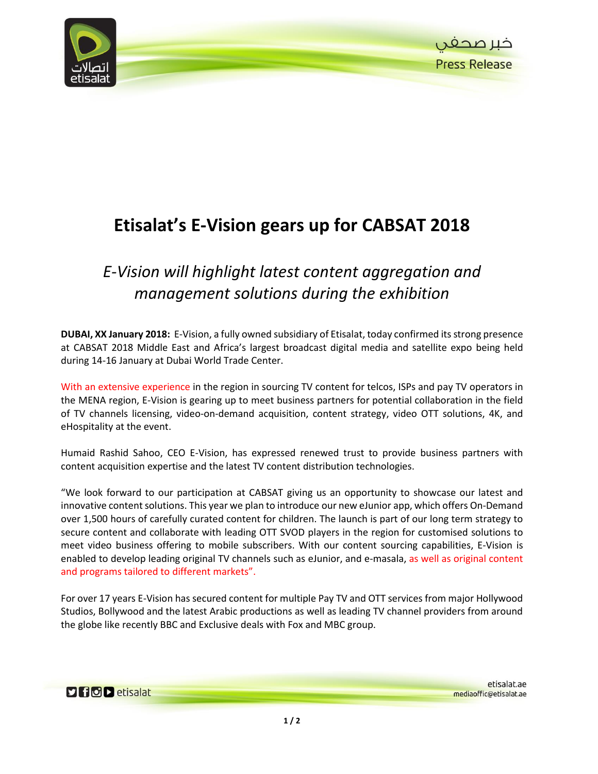

## **Etisalat's E-Vision gears up for CABSAT 2018**

## *E-Vision will highlight latest content aggregation and management solutions during the exhibition*

**DUBAI, XX January 2018:** E-Vision, a fully owned subsidiary of Etisalat, today confirmed itsstrong presence at CABSAT 2018 Middle East and Africa's largest broadcast digital media and satellite expo being held during 14-16 January at Dubai World Trade Center.

With an extensive experience in the region in sourcing TV content for telcos, ISPs and pay TV operators in the MENA region, E-Vision is gearing up to meet business partners for potential collaboration in the field of TV channels licensing, video-on-demand acquisition, content strategy, video OTT solutions, 4K, and eHospitality at the event.

Humaid Rashid Sahoo, CEO E-Vision, has expressed renewed trust to provide business partners with content acquisition expertise and the latest TV content distribution technologies.

"We look forward to our participation at CABSAT giving us an opportunity to showcase our latest and innovative content solutions. This year we plan to introduce our new eJunior app, which offers On-Demand over 1,500 hours of carefully curated content for children. The launch is part of our long term strategy to secure content and collaborate with leading OTT SVOD players in the region for customised solutions to meet video business offering to mobile subscribers. With our content sourcing capabilities, E-Vision is enabled to develop leading original TV channels such as eJunior, and e-masala, as well as original content and programs tailored to different markets".

For over 17 years E-Vision has secured content for multiple Pay TV and OTT services from major Hollywood Studios, Bollywood and the latest Arabic productions as well as leading TV channel providers from around the globe like recently BBC and Exclusive deals with Fox and MBC group.

**Dificio del etisalat**